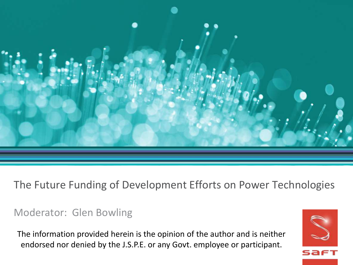

#### The Future Funding of Development Efforts on Power Technologies

#### Moderator: Glen Bowling

The information provided herein is the opinion of the author and is neither endorsed nor denied by the J.S.P.E. or any Govt. employee or participant.

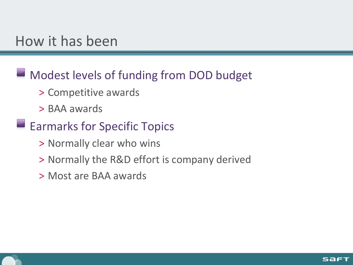# How it has been

#### **Modest levels of funding from DOD budget**

- > Competitive awards
- > BAA awards

#### **Earmarks for Specific Topics**

- > Normally clear who wins
- > Normally the R&D effort is company derived
- > Most are BAA awards

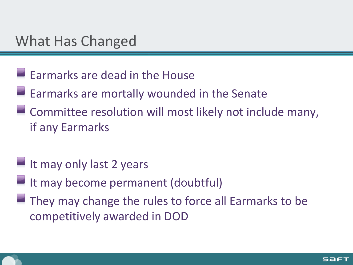# What Has Changed

- **Earmarks are dead in the House**
- $\blacksquare$  Earmarks are mortally wounded in the Senate
- **EXCOMMITTER COMMITTER COMMITTER COMMITTER COMMITTER COMMITTER COMMITTER COMMITTER COMMITTER COMMITTER COMMITTER COMMITTER COMMITTER COMMITTER COMMITTER COMMITTER COMMITTER COMMITTER COMMITTER COMMITTER COMMITTER COMMITTER** if any Earmarks
- $\blacksquare$  It may only last 2 years
- It may become permanent (doubtful)
- They may change the rules to force all Earmarks to be competitively awarded in DOD

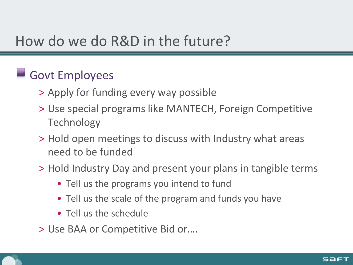# How do we do R&D in the future?

## Govt Employees

- > Apply for funding every way possible
- > Use special programs like MANTECH, Foreign Competitive Technology
- > Hold open meetings to discuss with Industry what areas need to be funded
- > Hold Industry Day and present your plans in tangible terms
	- Tell us the programs you intend to fund
	- Tell us the scale of the program and funds you have
	- Tell us the schedule
- > Use BAA or Competitive Bid or….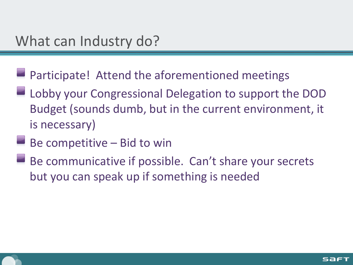- **Participate!** Attend the aforementioned meetings
- Lobby your Congressional Delegation to support the DOD Budget (sounds dumb, but in the current environment, it is necessary)
- Be competitive Bid to win
- Be communicative if possible. Can't share your secrets but you can speak up if something is needed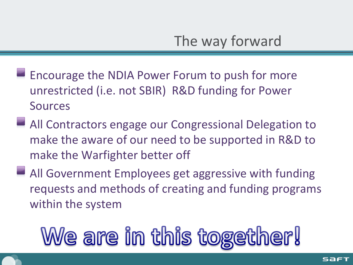- $\blacksquare$  Encourage the NDIA Power Forum to push for more unrestricted (i.e. not SBIR) R&D funding for Power Sources
- All Contractors engage our Congressional Delegation to make the aware of our need to be supported in R&D to make the Warfighter better off
- All Government Employees get aggressive with funding requests and methods of creating and funding programs within the system

# We are in this together!